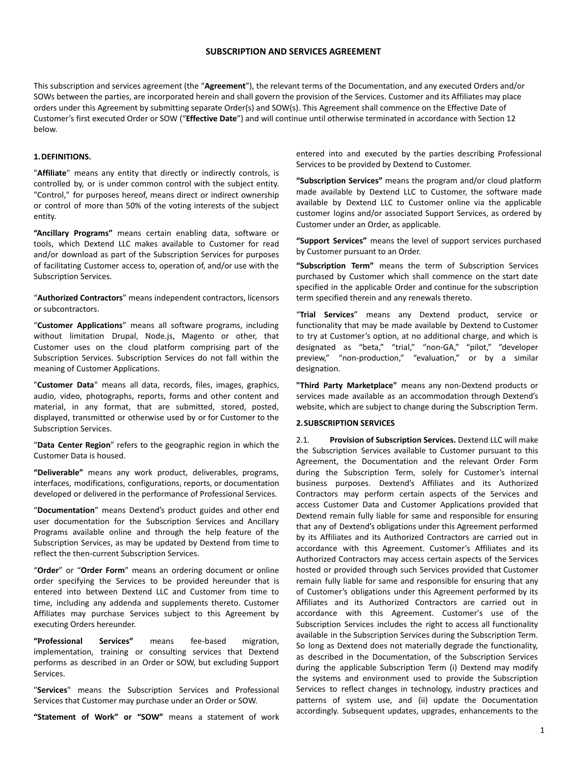## **SUBSCRIPTION AND SERVICES AGREEMENT**

This subscription and services agreement (the "**Agreement**"), the relevant terms of the Documentation, and any executed Orders and/or SOWs between the parties, are incorporated herein and shall govern the provision of the Services. Customer and its Affiliates may place orders under this Agreement by submitting separate Order(s) and SOW(s). This Agreement shall commence on the Effective Date of Customer's first executed Order or SOW ("**Effective Date**") and will continue until otherwise terminated in accordance with Section 12 below.

## **1.DEFINITIONS.**

"**Affiliate**" means any entity that directly or indirectly controls, is controlled by, or is under common control with the subject entity. "Control," for purposes hereof, means direct or indirect ownership or control of more than 50% of the voting interests of the subject entity.

**"Ancillary Programs"** means certain enabling data, software or tools, which Dextend LLC makes available to Customer for read and/or download as part of the Subscription Services for purposes of facilitating Customer access to, operation of, and/or use with the Subscription Services.

"**Authorized Contractors**" means independent contractors, licensors or subcontractors.

"**Customer Applications**" means all software programs, including without limitation Drupal, Node.js, Magento or other, that Customer uses on the cloud platform comprising part of the Subscription Services. Subscription Services do not fall within the meaning of Customer Applications.

"**Customer Data**" means all data, records, files, images, graphics, audio, video, photographs, reports, forms and other content and material, in any format, that are submitted, stored, posted, displayed, transmitted or otherwise used by or for Customer to the Subscription Services.

"**Data Center Region**" refers to the geographic region in which the Customer Data is housed.

**"Deliverable"** means any work product, deliverables, programs, interfaces, modifications, configurations, reports, or documentation developed or delivered in the performance of Professional Services.

"**Documentation**" means Dextend's product guides and other end user documentation for the Subscription Services and Ancillary Programs available online and through the help feature of the Subscription Services, as may be updated by Dextend from time to reflect the then-current Subscription Services.

"**Order**" or "**Order Form**" means an ordering document or online order specifying the Services to be provided hereunder that is entered into between Dextend LLC and Customer from time to time, including any addenda and supplements thereto. Customer Affiliates may purchase Services subject to this Agreement by executing Orders hereunder.

**"Professional Services"** means fee-based migration, implementation, training or consulting services that Dextend performs as described in an Order or SOW, but excluding Support Services.

"**Services**" means the Subscription Services and Professional Services that Customer may purchase under an Order or SOW.

**"Statement of Work" or "SOW"** means a statement of work

entered into and executed by the parties describing Professional Services to be provided by Dextend to Customer.

**"Subscription Services"** means the program and/or cloud platform made available by Dextend LLC to Customer, the software made available by Dextend LLC to Customer online via the applicable customer logins and/or associated Support Services, as ordered by Customer under an Order, as applicable.

**"Support Services"** means the level of support services purchased by Customer pursuant to an Order.

**"Subscription Term"** means the term of Subscription Services purchased by Customer which shall commence on the start date specified in the applicable Order and continue for the subscription term specified therein and any renewals thereto.

"**Trial Services**" means any Dextend product, service or functionality that may be made available by Dextend to Customer to try at Customer's option, at no additional charge, and which is designated as "beta," "trial," "non-GA," "pilot," "developer preview," "non-production," "evaluation," or by a similar designation.

**"Third Party Marketplace"** means any non-Dextend products or services made available as an accommodation through Dextend's website, which are subject to change during the Subscription Term.

## **2.SUBSCRIPTION SERVICES**

2.1. **Provision of Subscription Services.** Dextend LLC will make the Subscription Services available to Customer pursuant to this Agreement, the Documentation and the relevant Order Form during the Subscription Term, solely for Customer's internal business purposes. Dextend's Affiliates and its Authorized Contractors may perform certain aspects of the Services and access Customer Data and Customer Applications provided that Dextend remain fully liable for same and responsible for ensuring that any of Dextend's obligations under this Agreement performed by its Affiliates and its Authorized Contractors are carried out in accordance with this Agreement. Customer's Affiliates and its Authorized Contractors may access certain aspects of the Services hosted or provided through such Services provided that Customer remain fully liable for same and responsible for ensuring that any of Customer's obligations under this Agreement performed by its Affiliates and its Authorized Contractors are carried out in accordance with this Agreement. Customer's use of the Subscription Services includes the right to access all functionality available in the Subscription Services during the Subscription Term. So long as Dextend does not materially degrade the functionality, as described in the Documentation, of the Subscription Services during the applicable Subscription Term (i) Dextend may modify the systems and environment used to provide the Subscription Services to reflect changes in technology, industry practices and patterns of system use, and (ii) update the Documentation accordingly. Subsequent updates, upgrades, enhancements to the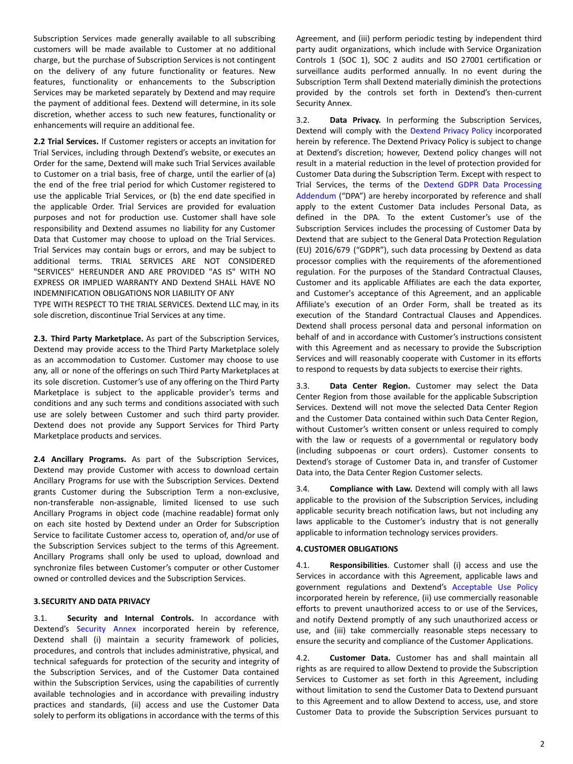Subscription Services made generally available to all subscribing customers will be made available to Customer at no additional charge, but the purchase of Subscription Services is not contingent on the delivery of any future functionality or features. New features, functionality or enhancements to the Subscription Services may be marketed separately by Dextend and may require the payment of additional fees. Dextend will determine, in its sole discretion, whether access to such new features, functionality or enhancements will require an additional fee.

**2.2 Trial Services.** If Customer registers or accepts an invitation for Trial Services, including through Dextend's website, or executes an Order for the same, Dextend will make such Trial Services available to Customer on a trial basis, free of charge, until the earlier of (a) the end of the free trial period for which Customer registered to use the applicable Trial Services, or (b) the end date specified in the applicable Order. Trial Services are provided for evaluation purposes and not for production use. Customer shall have sole responsibility and Dextend assumes no liability for any Customer Data that Customer may choose to upload on the Trial Services. Trial Services may contain bugs or errors, and may be subject to additional terms. TRIAL SERVICES ARE NOT CONSIDERED "SERVICES" HEREUNDER AND ARE PROVIDED "AS IS" WITH NO EXPRESS OR IMPLIED WARRANTY AND Dextend SHALL HAVE NO INDEMNIFICATION OBLIGATIONS NOR LIABILITY OF ANY

TYPE WITH RESPECT TO THE TRIAL SERVICES. Dextend LLC may, in its sole discretion, discontinue Trial Services at any time.

**2.3. Third Party Marketplace.** As part of the Subscription Services, Dextend may provide access to the Third Party Marketplace solely as an accommodation to Customer. Customer may choose to use any, all or none of the offerings on such Third Party Marketplaces at its sole discretion. Customer's use of any offering on the Third Party Marketplace is subject to the applicable provider's terms and conditions and any such terms and conditions associated with such use are solely between Customer and such third party provider. Dextend does not provide any Support Services for Third Party Marketplace products and services.

**2.4 Ancillary Programs.** As part of the Subscription Services, Dextend may provide Customer with access to download certain Ancillary Programs for use with the Subscription Services. Dextend grants Customer during the Subscription Term a non-exclusive, non-transferable non-assignable, limited licensed to use such Ancillary Programs in object code (machine readable) format only on each site hosted by Dextend under an Order for Subscription Service to facilitate Customer access to, operation of, and/or use of the Subscription Services subject to the terms of this Agreement. Ancillary Programs shall only be used to upload, download and synchronize files between Customer's computer or other Customer owned or controlled devices and the Subscription Services.

## **3.SECURITY AND DATA PRIVACY**

3.1. **Security and Internal Controls.** In accordance with Dextend's Security Annex incorporated herein by reference, Dextend shall (i) maintain a security framework of policies, procedures, and controls that includes administrative, physical, and technical safeguards for protection of the security and integrity of the Subscription Services, and of the Customer Data contained within the Subscription Services, using the capabilities of currently available technologies and in accordance with prevailing industry practices and standards, (ii) access and use the Customer Data solely to perform its obligations in accordance with the terms of this Agreement, and (iii) perform periodic testing by independent third party audit organizations, which include with Service Organization Controls 1 (SOC 1), SOC 2 audits and ISO 27001 certification or surveillance audits performed annually. In no event during the Subscription Term shall Dextend materially diminish the protections provided by the controls set forth in Dextend's then-current Security Annex.

3.2. **Data Privacy.** In performing the Subscription Services, Dextend will comply with the Dextend Privacy Polic[y](https://www.acquia.com/about-us/legal/privacy-policy) incorporated herein by reference. The Dextend Privacy Policy is subject to change at Dextend's discretion; however, Dextend policy changes will not result in a material reduction in the level of protection provided for Customer Data during the Subscription Term. Except with respect to Trial Services, the terms of the Dextend GDPR Data Processing Addendum ("DPA") are hereby incorporated by reference and shall apply to the extent Customer Data includes Personal Data, as defined in the DPA. To the extent Customer's use of the Subscription Services includes the processing of Customer Data by Dextend that are subject to the General Data Protection Regulation (EU) 2016/679 ("GDPR"), such data processing by Dextend as data processor complies with the requirements of the aforementioned regulation. For the purposes of the Standard Contractual Clauses, Customer and its applicable Affiliates are each the data exporter, and Customer's acceptance of this Agreement, and an applicable Affiliate's execution of an Order Form, shall be treated as its execution of the Standard Contractual Clauses and Appendices. Dextend shall process personal data and personal information on behalf of and in accordance with Customer's instructions consistent with this Agreement and as necessary to provide the Subscription Services and will reasonably cooperate with Customer in its efforts to respond to requests by data subjects to exercise their rights.

3.3. **Data Center Region.** Customer may select the Data Center Region from those available for the applicable Subscription Services. Dextend will not move the selected Data Center Region and the Customer Data contained within such Data Center Region, without Customer's written consent or unless required to comply with the law or requests of a governmental or regulatory body (including subpoenas or court orders). Customer consents to Dextend's storage of Customer Data in, and transfer of Customer Data into, the Data Center Region Customer selects.

3.4. **Compliance with Law.** Dextend will comply with all laws applicable to the provision of the Subscription Services, including applicable security breach notification laws, but not including any laws applicable to the Customer's industry that is not generally applicable to information technology services providers.

## **4.CUSTOMER OBLIGATIONS**

4.1. **Responsibilities**. Customer shall (i) access and use the Services in accordance with this Agreement, applicable laws and government regulations and Dextend's Acceptable Use Policy incorporated herein by reference, (ii) use commercially reasonable efforts to prevent unauthorized access to or use of the Services, and notify Dextend promptly of any such unauthorized access or use, and (iii) take commercially reasonable steps necessary to ensure the security and compliance of the Customer Applications.

4.2. **Customer Data.** Customer has and shall maintain all rights as are required to allow Dextend to provide the Subscription Services to Customer as set forth in this Agreement, including without limitation to send the Customer Data to Dextend pursuant to this Agreement and to allow Dextend to access, use, and store Customer Data to provide the Subscription Services pursuant to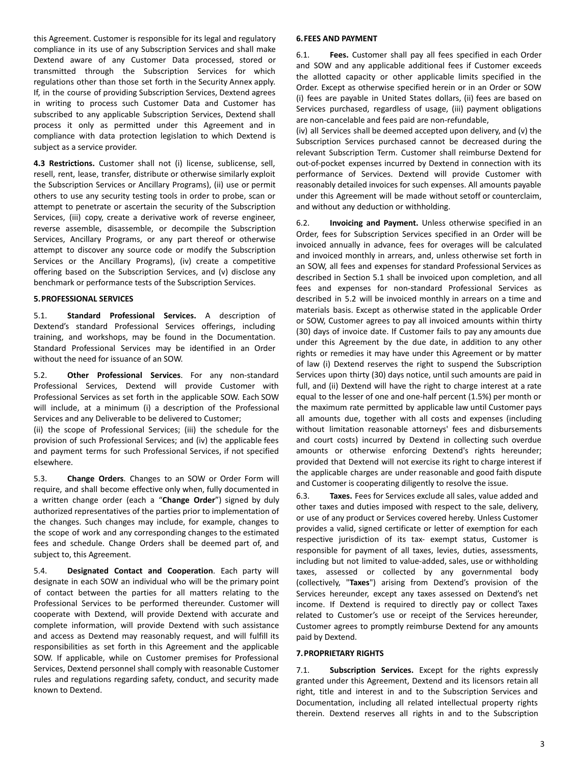this Agreement. Customer is responsible for its legal and regulatory compliance in its use of any Subscription Services and shall make Dextend aware of any Customer Data processed, stored or transmitted through the Subscription Services for which regulations other than those set forth in the Security Annex apply. If, in the course of providing Subscription Services, Dextend agrees in writing to process such Customer Data and Customer has subscribed to any applicable Subscription Services, Dextend shall process it only as permitted under this Agreement and in compliance with data protection legislation to which Dextend is subject as a service provider.

**4.3 Restrictions.** Customer shall not (i) license, sublicense, sell, resell, rent, lease, transfer, distribute or otherwise similarly exploit the Subscription Services or Ancillary Programs), (ii) use or permit others to use any security testing tools in order to probe, scan or attempt to penetrate or ascertain the security of the Subscription Services, (iii) copy, create a derivative work of reverse engineer, reverse assemble, disassemble, or decompile the Subscription Services, Ancillary Programs, or any part thereof or otherwise attempt to discover any source code or modify the Subscription Services or the Ancillary Programs), (iv) create a competitive offering based on the Subscription Services, and (v) disclose any benchmark or performance tests of the Subscription Services.

## **5.PROFESSIONAL SERVICES**

5.1. **Standard Professional Services.** A description of Dextend's standard Professional Services offerings, including training, and workshops, may be found in the Documentation. Standard Professional Services may be identified in an Order without the need for issuance of an SOW.

5.2. **Other Professional Services**. For any non-standard Professional Services, Dextend will provide Customer with Professional Services as set forth in the applicable SOW. Each SOW will include, at a minimum (i) a description of the Professional Services and any Deliverable to be delivered to Customer;

(ii) the scope of Professional Services; (iii) the schedule for the provision of such Professional Services; and (iv) the applicable fees and payment terms for such Professional Services, if not specified elsewhere.

5.3. **Change Orders**. Changes to an SOW or Order Form will require, and shall become effective only when, fully documented in a written change order (each a "**Change Order**") signed by duly authorized representatives of the parties prior to implementation of the changes. Such changes may include, for example, changes to the scope of work and any corresponding changes to the estimated fees and schedule. Change Orders shall be deemed part of, and subject to, this Agreement.

5.4. **Designated Contact and Cooperation**. Each party will designate in each SOW an individual who will be the primary point of contact between the parties for all matters relating to the Professional Services to be performed thereunder. Customer will cooperate with Dextend, will provide Dextend with accurate and complete information, will provide Dextend with such assistance and access as Dextend may reasonably request, and will fulfill its responsibilities as set forth in this Agreement and the applicable SOW. If applicable, while on Customer premises for Professional Services, Dextend personnel shall comply with reasonable Customer rules and regulations regarding safety, conduct, and security made known to Dextend.

## **6.FEES AND PAYMENT**

6.1. **Fees.** Customer shall pay all fees specified in each Order and SOW and any applicable additional fees if Customer exceeds the allotted capacity or other applicable limits specified in the Order. Except as otherwise specified herein or in an Order or SOW (i) fees are payable in United States dollars, (ii) fees are based on Services purchased, regardless of usage, (iii) payment obligations are non-cancelable and fees paid are non-refundable,

(iv) all Services shall be deemed accepted upon delivery, and (v) the Subscription Services purchased cannot be decreased during the relevant Subscription Term. Customer shall reimburse Dextend for out-of-pocket expenses incurred by Dextend in connection with its performance of Services. Dextend will provide Customer with reasonably detailed invoices for such expenses. All amounts payable under this Agreement will be made without setoff or counterclaim, and without any deduction or withholding.

6.2. **Invoicing and Payment.** Unless otherwise specified in an Order, fees for Subscription Services specified in an Order will be invoiced annually in advance, fees for overages will be calculated and invoiced monthly in arrears, and, unless otherwise set forth in an SOW, all fees and expenses for standard Professional Services as described in Section 5.1 shall be invoiced upon completion, and all fees and expenses for non-standard Professional Services as described in 5.2 will be invoiced monthly in arrears on a time and materials basis. Except as otherwise stated in the applicable Order or SOW, Customer agrees to pay all invoiced amounts within thirty (30) days of invoice date. If Customer fails to pay any amounts due under this Agreement by the due date, in addition to any other rights or remedies it may have under this Agreement or by matter of law (i) Dextend reserves the right to suspend the Subscription Services upon thirty (30) days notice, until such amounts are paid in full, and (ii) Dextend will have the right to charge interest at a rate equal to the lesser of one and one-half percent (1.5%) per month or the maximum rate permitted by applicable law until Customer pays all amounts due, together with all costs and expenses (including without limitation reasonable attorneys' fees and disbursements and court costs) incurred by Dextend in collecting such overdue amounts or otherwise enforcing Dextend's rights hereunder; provided that Dextend will not exercise its right to charge interest if the applicable charges are under reasonable and good faith dispute and Customer is cooperating diligently to resolve the issue.

6.3. **Taxes.** Fees for Services exclude all sales, value added and other taxes and duties imposed with respect to the sale, delivery, or use of any product or Services covered hereby. Unless Customer provides a valid, signed certificate or letter of exemption for each respective jurisdiction of its tax- exempt status, Customer is responsible for payment of all taxes, levies, duties, assessments, including but not limited to value-added, sales, use or withholding taxes, assessed or collected by any governmental body (collectively, "**Taxes**") arising from Dextend's provision of the Services hereunder, except any taxes assessed on Dextend's net income. If Dextend is required to directly pay or collect Taxes related to Customer's use or receipt of the Services hereunder, Customer agrees to promptly reimburse Dextend for any amounts paid by Dextend.

## **7.PROPRIETARY RIGHTS**

7.1. **Subscription Services.** Except for the rights expressly granted under this Agreement, Dextend and its licensors retain all right, title and interest in and to the Subscription Services and Documentation, including all related intellectual property rights therein. Dextend reserves all rights in and to the Subscription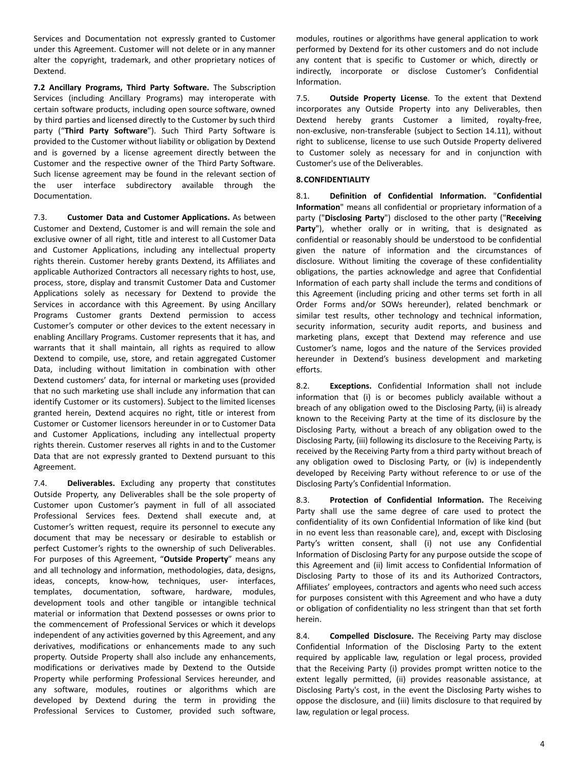Services and Documentation not expressly granted to Customer under this Agreement. Customer will not delete or in any manner alter the copyright, trademark, and other proprietary notices of Dextend.

**7.2 Ancillary Programs, Third Party Software.** The Subscription Services (including Ancillary Programs) may interoperate with certain software products, including open source software, owned by third parties and licensed directly to the Customer by such third party ("**Third Party Software**"). Such Third Party Software is provided to the Customer without liability or obligation by Dextend and is governed by a license agreement directly between the Customer and the respective owner of the Third Party Software. Such license agreement may be found in the relevant section of the user interface subdirectory available through the Documentation.

7.3. **Customer Data and Customer Applications.** As between Customer and Dextend, Customer is and will remain the sole and exclusive owner of all right, title and interest to all Customer Data and Customer Applications, including any intellectual property rights therein. Customer hereby grants Dextend, its Affiliates and applicable Authorized Contractors all necessary rights to host, use, process, store, display and transmit Customer Data and Customer Applications solely as necessary for Dextend to provide the Services in accordance with this Agreement. By using Ancillary Programs Customer grants Dextend permission to access Customer's computer or other devices to the extent necessary in enabling Ancillary Programs. Customer represents that it has, and warrants that it shall maintain, all rights as required to allow Dextend to compile, use, store, and retain aggregated Customer Data, including without limitation in combination with other Dextend customers' data, for internal or marketing uses (provided that no such marketing use shall include any information that can identify Customer or its customers). Subject to the limited licenses granted herein, Dextend acquires no right, title or interest from Customer or Customer licensors hereunder in or to Customer Data and Customer Applications, including any intellectual property rights therein. Customer reserves all rights in and to the Customer Data that are not expressly granted to Dextend pursuant to this Agreement.

7.4. **Deliverables.** Excluding any property that constitutes Outside Property, any Deliverables shall be the sole property of Customer upon Customer's payment in full of all associated Professional Services fees. Dextend shall execute and, at Customer's written request, require its personnel to execute any document that may be necessary or desirable to establish or perfect Customer's rights to the ownership of such Deliverables. For purposes of this Agreement, "**Outside Property**" means any and all technology and information, methodologies, data, designs, ideas, concepts, know-how, techniques, user- interfaces, templates, documentation, software, hardware, modules, development tools and other tangible or intangible technical material or information that Dextend possesses or owns prior to the commencement of Professional Services or which it develops independent of any activities governed by this Agreement, and any derivatives, modifications or enhancements made to any such property. Outside Property shall also include any enhancements, modifications or derivatives made by Dextend to the Outside Property while performing Professional Services hereunder, and any software, modules, routines or algorithms which are developed by Dextend during the term in providing the Professional Services to Customer, provided such software,

modules, routines or algorithms have general application to work performed by Dextend for its other customers and do not include any content that is specific to Customer or which, directly or indirectly, incorporate or disclose Customer's Confidential Information.

7.5. **Outside Property License**. To the extent that Dextend incorporates any Outside Property into any Deliverables, then Dextend hereby grants Customer a limited, royalty-free, non-exclusive, non-transferable (subject to Section 14.11), without right to sublicense, license to use such Outside Property delivered to Customer solely as necessary for and in conjunction with Customer's use of the Deliverables.

## **8.CONFIDENTIALITY**

8.1. **Definition of Confidential Information.** "**Confidential Information**" means all confidential or proprietary information of a party ("**Disclosing Party**") disclosed to the other party ("**Receiving Party**"), whether orally or in writing, that is designated as confidential or reasonably should be understood to be confidential given the nature of information and the circumstances of disclosure. Without limiting the coverage of these confidentiality obligations, the parties acknowledge and agree that Confidential Information of each party shall include the terms and conditions of this Agreement (including pricing and other terms set forth in all Order Forms and/or SOWs hereunder), related benchmark or similar test results, other technology and technical information, security information, security audit reports, and business and marketing plans, except that Dextend may reference and use Customer's name, logos and the nature of the Services provided hereunder in Dextend's business development and marketing efforts.

8.2. **Exceptions.** Confidential Information shall not include information that (i) is or becomes publicly available without a breach of any obligation owed to the Disclosing Party, (ii) is already known to the Receiving Party at the time of its disclosure by the Disclosing Party, without a breach of any obligation owed to the Disclosing Party, (iii) following its disclosure to the Receiving Party, is received by the Receiving Party from a third party without breach of any obligation owed to Disclosing Party, or (iv) is independently developed by Receiving Party without reference to or use of the Disclosing Party's Confidential Information.

8.3. **Protection of Confidential Information.** The Receiving Party shall use the same degree of care used to protect the confidentiality of its own Confidential Information of like kind (but in no event less than reasonable care), and, except with Disclosing Party's written consent, shall (i) not use any Confidential Information of Disclosing Party for any purpose outside the scope of this Agreement and (ii) limit access to Confidential Information of Disclosing Party to those of its and its Authorized Contractors, Affiliates' employees, contractors and agents who need such access for purposes consistent with this Agreement and who have a duty or obligation of confidentiality no less stringent than that set forth herein.

8.4. **Compelled Disclosure.** The Receiving Party may disclose Confidential Information of the Disclosing Party to the extent required by applicable law, regulation or legal process, provided that the Receiving Party (i) provides prompt written notice to the extent legally permitted, (ii) provides reasonable assistance, at Disclosing Party's cost, in the event the Disclosing Party wishes to oppose the disclosure, and (iii) limits disclosure to that required by law, regulation or legal process.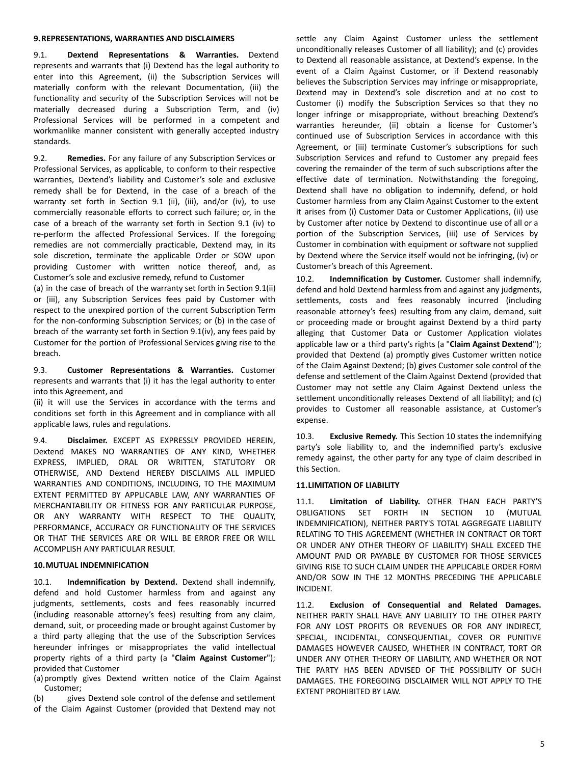## **9.REPRESENTATIONS, WARRANTIES AND DISCLAIMERS**

9.1. **Dextend Representations & Warranties.** Dextend represents and warrants that (i) Dextend has the legal authority to enter into this Agreement, (ii) the Subscription Services will materially conform with the relevant Documentation, (iii) the functionality and security of the Subscription Services will not be materially decreased during a Subscription Term, and (iv) Professional Services will be performed in a competent and workmanlike manner consistent with generally accepted industry standards.

9.2. **Remedies.** For any failure of any Subscription Services or Professional Services, as applicable, to conform to their respective warranties, Dextend's liability and Customer's sole and exclusive remedy shall be for Dextend, in the case of a breach of the warranty set forth in Section 9.1 (ii), (iii), and/or (iv), to use commercially reasonable efforts to correct such failure; or, in the case of a breach of the warranty set forth in Section 9.1 (iv) to re-perform the affected Professional Services. If the foregoing remedies are not commercially practicable, Dextend may, in its sole discretion, terminate the applicable Order or SOW upon providing Customer with written notice thereof, and, as Customer's sole and exclusive remedy, refund to Customer

(a) in the case of breach of the warranty set forth in Section 9.1(ii) or (iii), any Subscription Services fees paid by Customer with respect to the unexpired portion of the current Subscription Term for the non-conforming Subscription Services; or (b) in the case of breach of the warranty set forth in Section 9.1(iv), any fees paid by Customer for the portion of Professional Services giving rise to the breach.

9.3. **Customer Representations & Warranties.** Customer represents and warrants that (i) it has the legal authority to enter into this Agreement, and

(ii) it will use the Services in accordance with the terms and conditions set forth in this Agreement and in compliance with all applicable laws, rules and regulations.

9.4. **Disclaimer.** EXCEPT AS EXPRESSLY PROVIDED HEREIN, Dextend MAKES NO WARRANTIES OF ANY KIND, WHETHER EXPRESS, IMPLIED, ORAL OR WRITTEN, STATUTORY OR OTHERWISE, AND Dextend HEREBY DISCLAIMS ALL IMPLIED WARRANTIES AND CONDITIONS, INCLUDING, TO THE MAXIMUM EXTENT PERMITTED BY APPLICABLE LAW, ANY WARRANTIES OF MERCHANTABILITY OR FITNESS FOR ANY PARTICULAR PURPOSE, OR ANY WARRANTY WITH RESPECT TO THE QUALITY, PERFORMANCE, ACCURACY OR FUNCTIONALITY OF THE SERVICES OR THAT THE SERVICES ARE OR WILL BE ERROR FREE OR WILL ACCOMPLISH ANY PARTICULAR RESULT.

#### **10.MUTUAL INDEMNIFICATION**

10.1. **Indemnification by Dextend.** Dextend shall indemnify, defend and hold Customer harmless from and against any judgments, settlements, costs and fees reasonably incurred (including reasonable attorney's fees) resulting from any claim, demand, suit, or proceeding made or brought against Customer by a third party alleging that the use of the Subscription Services hereunder infringes or misappropriates the valid intellectual property rights of a third party (a "**Claim Against Customer**"); provided that Customer

(a)promptly gives Dextend written notice of the Claim Against Customer;

(b) gives Dextend sole control of the defense and settlement of the Claim Against Customer (provided that Dextend may not settle any Claim Against Customer unless the settlement unconditionally releases Customer of all liability); and (c) provides to Dextend all reasonable assistance, at Dextend's expense. In the event of a Claim Against Customer, or if Dextend reasonably believes the Subscription Services may infringe or misappropriate, Dextend may in Dextend's sole discretion and at no cost to Customer (i) modify the Subscription Services so that they no longer infringe or misappropriate, without breaching Dextend's warranties hereunder, (ii) obtain a license for Customer's continued use of Subscription Services in accordance with this Agreement, or (iii) terminate Customer's subscriptions for such Subscription Services and refund to Customer any prepaid fees covering the remainder of the term of such subscriptions after the effective date of termination. Notwithstanding the foregoing, Dextend shall have no obligation to indemnify, defend, or hold Customer harmless from any Claim Against Customer to the extent it arises from (i) Customer Data or Customer Applications, (ii) use by Customer after notice by Dextend to discontinue use of all or a portion of the Subscription Services, (iii) use of Services by Customer in combination with equipment or software not supplied by Dextend where the Service itself would not be infringing, (iv) or Customer's breach of this Agreement.

10.2. **Indemnification by Customer.** Customer shall indemnify, defend and hold Dextend harmless from and against any judgments, settlements, costs and fees reasonably incurred (including reasonable attorney's fees) resulting from any claim, demand, suit or proceeding made or brought against Dextend by a third party alleging that Customer Data or Customer Application violates applicable law or a third party's rights (a "**Claim Against Dextend**"); provided that Dextend (a) promptly gives Customer written notice of the Claim Against Dextend; (b) gives Customer sole control of the defense and settlement of the Claim Against Dextend (provided that Customer may not settle any Claim Against Dextend unless the settlement unconditionally releases Dextend of all liability); and (c) provides to Customer all reasonable assistance, at Customer's expense.

10.3. **Exclusive Remedy.** This Section 10 states the indemnifying party's sole liability to, and the indemnified party's exclusive remedy against, the other party for any type of claim described in this Section.

# **11.LIMITATION OF LIABILITY**

11.1. **Limitation of Liability.** OTHER THAN EACH PARTY'S OBLIGATIONS SET FORTH IN SECTION 10 (MUTUAL INDEMNIFICATION), NEITHER PARTY'S TOTAL AGGREGATE LIABILITY RELATING TO THIS AGREEMENT (WHETHER IN CONTRACT OR TORT OR UNDER ANY OTHER THEORY OF LIABILITY) SHALL EXCEED THE AMOUNT PAID OR PAYABLE BY CUSTOMER FOR THOSE SERVICES GIVING RISE TO SUCH CLAIM UNDER THE APPLICABLE ORDER FORM AND/OR SOW IN THE 12 MONTHS PRECEDING THE APPLICABLE INCIDENT.

11.2. **Exclusion of Consequential and Related Damages.** NEITHER PARTY SHALL HAVE ANY LIABILITY TO THE OTHER PARTY FOR ANY LOST PROFITS OR REVENUES OR FOR ANY INDIRECT, SPECIAL, INCIDENTAL, CONSEQUENTIAL, COVER OR PUNITIVE DAMAGES HOWEVER CAUSED, WHETHER IN CONTRACT, TORT OR UNDER ANY OTHER THEORY OF LIABILITY, AND WHETHER OR NOT THE PARTY HAS BEEN ADVISED OF THE POSSIBILITY OF SUCH DAMAGES. THE FOREGOING DISCLAIMER WILL NOT APPLY TO THE EXTENT PROHIBITED BY LAW.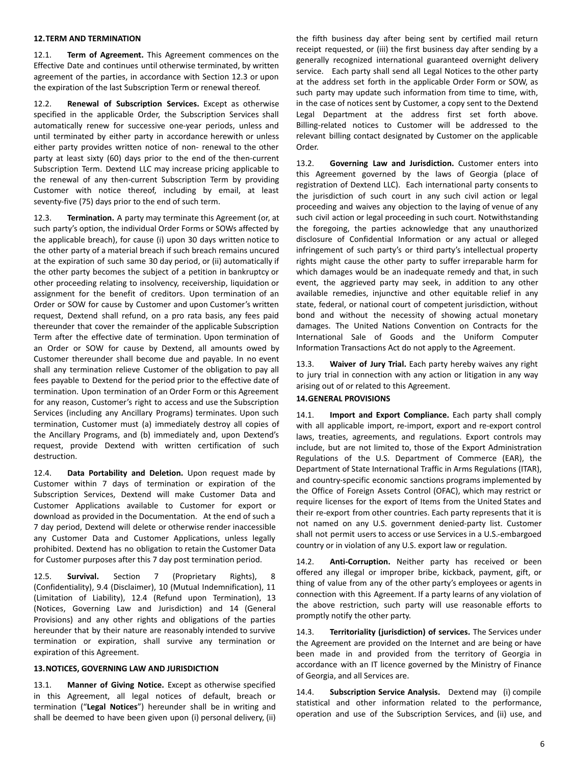## **12.TERM AND TERMINATION**

12.1. **Term of Agreement.** This Agreement commences on the Effective Date and continues until otherwise terminated, by written agreement of the parties, in accordance with Section 12.3 or upon the expiration of the last Subscription Term or renewal thereof.

12.2. **Renewal of Subscription Services.** Except as otherwise specified in the applicable Order, the Subscription Services shall automatically renew for successive one-year periods, unless and until terminated by either party in accordance herewith or unless either party provides written notice of non- renewal to the other party at least sixty (60) days prior to the end of the then-current Subscription Term. Dextend LLC may increase pricing applicable to the renewal of any then-current Subscription Term by providing Customer with notice thereof, including by email, at least seventy-five (75) days prior to the end of such term.

12.3. **Termination.** A party may terminate this Agreement (or, at such party's option, the individual Order Forms or SOWs affected by the applicable breach), for cause (i) upon 30 days written notice to the other party of a material breach if such breach remains uncured at the expiration of such same 30 day period, or (ii) automatically if the other party becomes the subject of a petition in bankruptcy or other proceeding relating to insolvency, receivership, liquidation or assignment for the benefit of creditors. Upon termination of an Order or SOW for cause by Customer and upon Customer's written request, Dextend shall refund, on a pro rata basis, any fees paid thereunder that cover the remainder of the applicable Subscription Term after the effective date of termination. Upon termination of an Order or SOW for cause by Dextend, all amounts owed by Customer thereunder shall become due and payable. In no event shall any termination relieve Customer of the obligation to pay all fees payable to Dextend for the period prior to the effective date of termination. Upon termination of an Order Form or this Agreement for any reason, Customer's right to access and use the Subscription Services (including any Ancillary Programs) terminates. Upon such termination, Customer must (a) immediately destroy all copies of the Ancillary Programs, and (b) immediately and, upon Dextend's request, provide Dextend with written certification of such destruction.

12.4. **Data Portability and Deletion.** Upon request made by Customer within 7 days of termination or expiration of the Subscription Services, Dextend will make Customer Data and Customer Applications available to Customer for export or download as provided in the Documentation. At the end of such a 7 day period, Dextend will delete or otherwise render inaccessible any Customer Data and Customer Applications, unless legally prohibited. Dextend has no obligation to retain the Customer Data for Customer purposes after this 7 day post termination period.

12.5. **Survival.** Section 7 (Proprietary Rights), 8 (Confidentiality), 9.4 (Disclaimer), 10 (Mutual Indemnification), 11 (Limitation of Liability), 12.4 (Refund upon Termination), 13 (Notices, Governing Law and Jurisdiction) and 14 (General Provisions) and any other rights and obligations of the parties hereunder that by their nature are reasonably intended to survive termination or expiration, shall survive any termination or expiration of this Agreement.

#### **13.NOTICES, GOVERNING LAW AND JURISDICTION**

13.1. **Manner of Giving Notice.** Except as otherwise specified in this Agreement, all legal notices of default, breach or termination ("**Legal Notices**") hereunder shall be in writing and shall be deemed to have been given upon (i) personal delivery, (ii)

the fifth business day after being sent by certified mail return receipt requested, or (iii) the first business day after sending by a generally recognized international guaranteed overnight delivery service. Each party shall send all Legal Notices to the other party at the address set forth in the applicable Order Form or SOW, as such party may update such information from time to time, with, in the case of notices sent by Customer, a copy sent to the Dextend Legal Department at the address first set forth above. Billing-related notices to Customer will be addressed to the relevant billing contact designated by Customer on the applicable Order.

13.2. **Governing Law and Jurisdiction.** Customer enters into this Agreement governed by the laws of Georgia (place of registration of Dextend LLC). Each international party consents to the jurisdiction of such court in any such civil action or legal proceeding and waives any objection to the laying of venue of any such civil action or legal proceeding in such court. Notwithstanding the foregoing, the parties acknowledge that any unauthorized disclosure of Confidential Information or any actual or alleged infringement of such party's or third party's intellectual property rights might cause the other party to suffer irreparable harm for which damages would be an inadequate remedy and that, in such event, the aggrieved party may seek, in addition to any other available remedies, injunctive and other equitable relief in any state, federal, or national court of competent jurisdiction, without bond and without the necessity of showing actual monetary damages. The United Nations Convention on Contracts for the International Sale of Goods and the Uniform Computer Information Transactions Act do not apply to the Agreement.

13.3. **Waiver of Jury Trial.** Each party hereby waives any right to jury trial in connection with any action or litigation in any way arising out of or related to this Agreement.

## **14.GENERAL PROVISIONS**

14.1. **Import and Export Compliance.** Each party shall comply with all applicable import, re-import, export and re-export control laws, treaties, agreements, and regulations. Export controls may include, but are not limited to, those of the Export Administration Regulations of the U.S. Department of Commerce (EAR), the Department of State International Traffic in Arms Regulations (ITAR), and country-specific economic sanctions programs implemented by the Office of Foreign Assets Control (OFAC), which may restrict or require licenses for the export of Items from the United States and their re-export from other countries. Each party represents that it is not named on any U.S. government denied-party list. Customer shall not permit users to access or use Services in a U.S.-embargoed country or in violation of any U.S. export law or regulation.

14.2. **Anti-Corruption.** Neither party has received or been offered any illegal or improper bribe, kickback, payment, gift, or thing of value from any of the other party's employees or agents in connection with this Agreement. If a party learns of any violation of the above restriction, such party will use reasonable efforts to promptly notify the other party.

14.3. **Territoriality (jurisdiction) of services.** The Services under the Agreement are provided on the Internet and are being or have been made in and provided from the territory of Georgia in accordance with an IT licence governed by the Ministry of Finance of Georgia, and all Services are.

14.4. **Subscription Service Analysis.** Dextend may (i) compile statistical and other information related to the performance, operation and use of the Subscription Services, and (ii) use, and